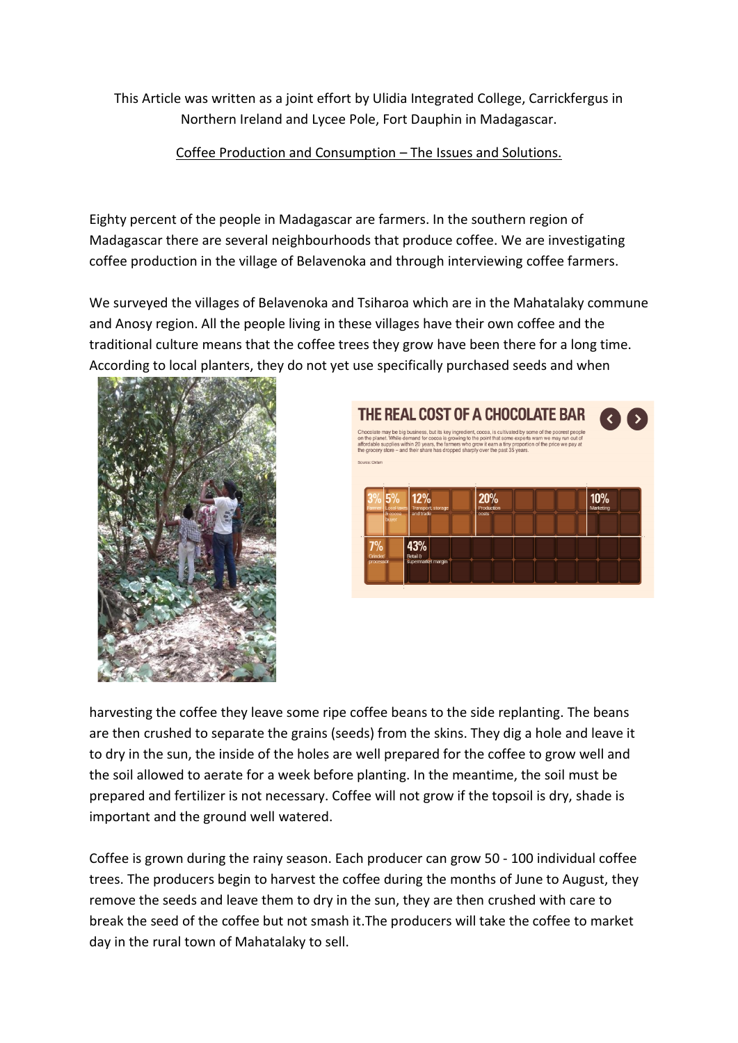This Article was written as a joint effort by Ulidia Integrated College, Carrickfergus in Northern Ireland and Lycee Pole, Fort Dauphin in Madagascar.

Coffee Production and Consumption – The Issues and Solutions.

Eighty percent of the people in Madagascar are farmers. In the southern region of Madagascar there are several neighbourhoods that produce coffee. We are investigating coffee production in the village of Belavenoka and through interviewing coffee farmers.

We surveyed the villages of Belavenoka and Tsiharoa which are in the Mahatalaky commune and Anosy region. All the people living in these villages have their own coffee and the traditional culture means that the coffee trees they grow have been there for a long time. According to local planters, they do not yet use specifically purchased seeds and when





harvesting the coffee they leave some ripe coffee beans to the side replanting. The beans are then crushed to separate the grains (seeds) from the skins. They dig a hole and leave it to dry in the sun, the inside of the holes are well prepared for the coffee to grow well and the soil allowed to aerate for a week before planting. In the meantime, the soil must be prepared and fertilizer is not necessary. Coffee will not grow if the topsoil is dry, shade is important and the ground well watered.

Coffee is grown during the rainy season. Each producer can grow 50 - 100 individual coffee trees. The producers begin to harvest the coffee during the months of June to August, they remove the seeds and leave them to dry in the sun, they are then crushed with care to break the seed of the coffee but not smash it.The producers will take the coffee to market day in the rural town of Mahatalaky to sell.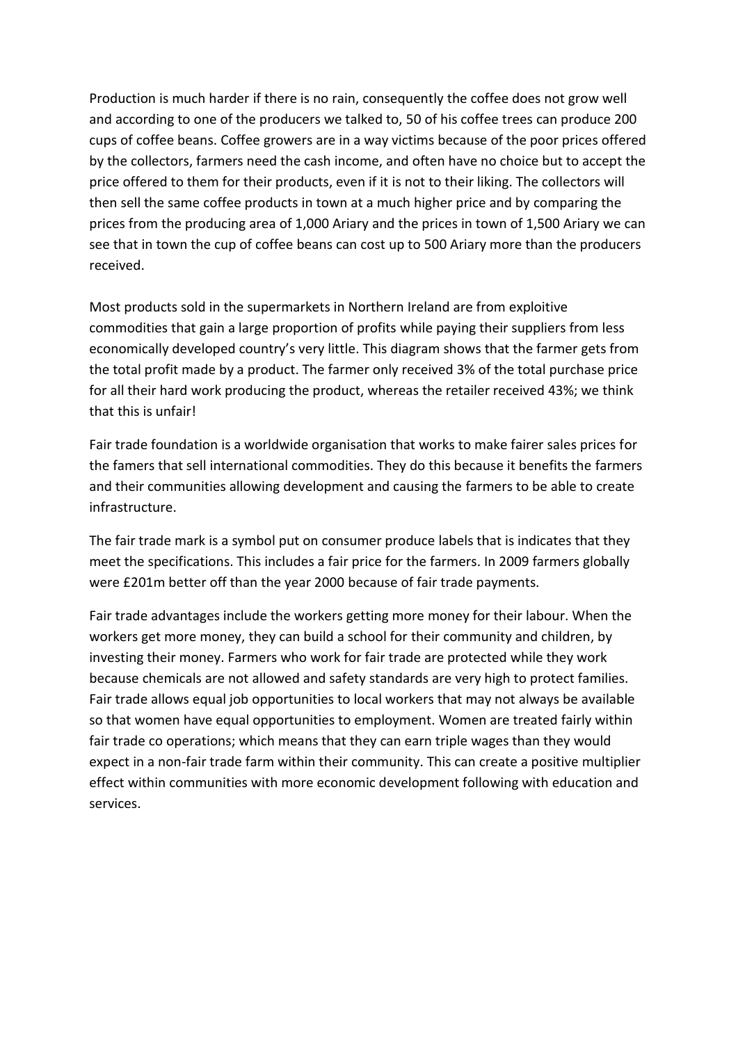Production is much harder if there is no rain, consequently the coffee does not grow well and according to one of the producers we talked to, 50 of his coffee trees can produce 200 cups of coffee beans. Coffee growers are in a way victims because of the poor prices offered by the collectors, farmers need the cash income, and often have no choice but to accept the price offered to them for their products, even if it is not to their liking. The collectors will then sell the same coffee products in town at a much higher price and by comparing the prices from the producing area of 1,000 Ariary and the prices in town of 1,500 Ariary we can see that in town the cup of coffee beans can cost up to 500 Ariary more than the producers received.

Most products sold in the supermarkets in Northern Ireland are from exploitive commodities that gain a large proportion of profits while paying their suppliers from less economically developed country's very little. This diagram shows that the farmer gets from the total profit made by a product. The farmer only received 3% of the total purchase price for all their hard work producing the product, whereas the retailer received 43%; we think that this is unfair!

Fair trade foundation is a worldwide organisation that works to make fairer sales prices for the famers that sell international commodities. They do this because it benefits the farmers and their communities allowing development and causing the farmers to be able to create infrastructure.

The fair trade mark is a symbol put on consumer produce labels that is indicates that they meet the specifications. This includes a fair price for the farmers. In 2009 farmers globally were £201m better off than the year 2000 because of fair trade payments.

Fair trade advantages include the workers getting more money for their labour. When the workers get more money, they can build a school for their community and children, by investing their money. Farmers who work for fair trade are protected while they work because chemicals are not allowed and safety standards are very high to protect families. Fair trade allows equal job opportunities to local workers that may not always be available so that women have equal opportunities to employment. Women are treated fairly within fair trade co operations; which means that they can earn triple wages than they would expect in a non-fair trade farm within their community. This can create a positive multiplier effect within communities with more economic development following with education and services.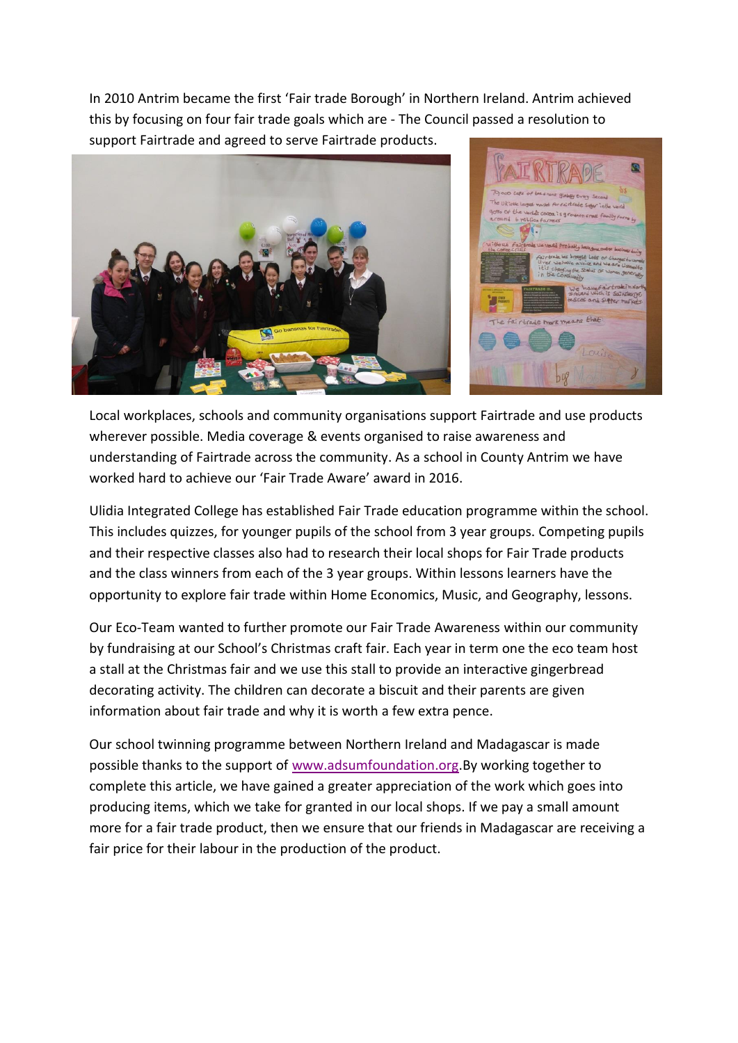In 2010 Antrim became the first 'Fair trade Borough' in Northern Ireland. Antrim achieved this by focusing on four fair trade goals which are - The Council passed a resolution to support Fairtrade and agreed to serve Fairtrade products.





Local workplaces, schools and community organisations support Fairtrade and use products wherever possible. Media coverage & events organised to raise awareness and understanding of Fairtrade across the community. As a school in County Antrim we have worked hard to achieve our 'Fair Trade Aware' award in 2016.

Ulidia Integrated College has established Fair Trade education programme within the school. This includes quizzes, for younger pupils of the school from 3 year groups. Competing pupils and their respective classes also had to research their local shops for Fair Trade products and the class winners from each of the 3 year groups. Within lessons learners have the opportunity to explore fair trade within Home Economics, Music, and Geography, lessons.

Our Eco-Team wanted to further promote our Fair Trade Awareness within our community by fundraising at our School's Christmas craft fair. Each year in term one the eco team host a stall at the Christmas fair and we use this stall to provide an interactive gingerbread decorating activity. The children can decorate a biscuit and their parents are given information about fair trade and why it is worth a few extra pence.

Our school twinning programme between Northern Ireland and Madagascar is made possible thanks to the support of [www.adsumfoundation.org.](https://mail.c2kschools.net/owa/redir.aspx?C=CRUUg0pUJ0asRYQ2Pw6Xi8MFFjHRgdQIyEY1tya2JtZI6X3M05EXJ9wX_5BMK0NtpHsaSgLa5qA.&URL=http%3a%2f%2fwww.adsumfoundation.org)By working together to complete this article, we have gained a greater appreciation of the work which goes into producing items, which we take for granted in our local shops. If we pay a small amount more for a fair trade product, then we ensure that our friends in Madagascar are receiving a fair price for their labour in the production of the product.